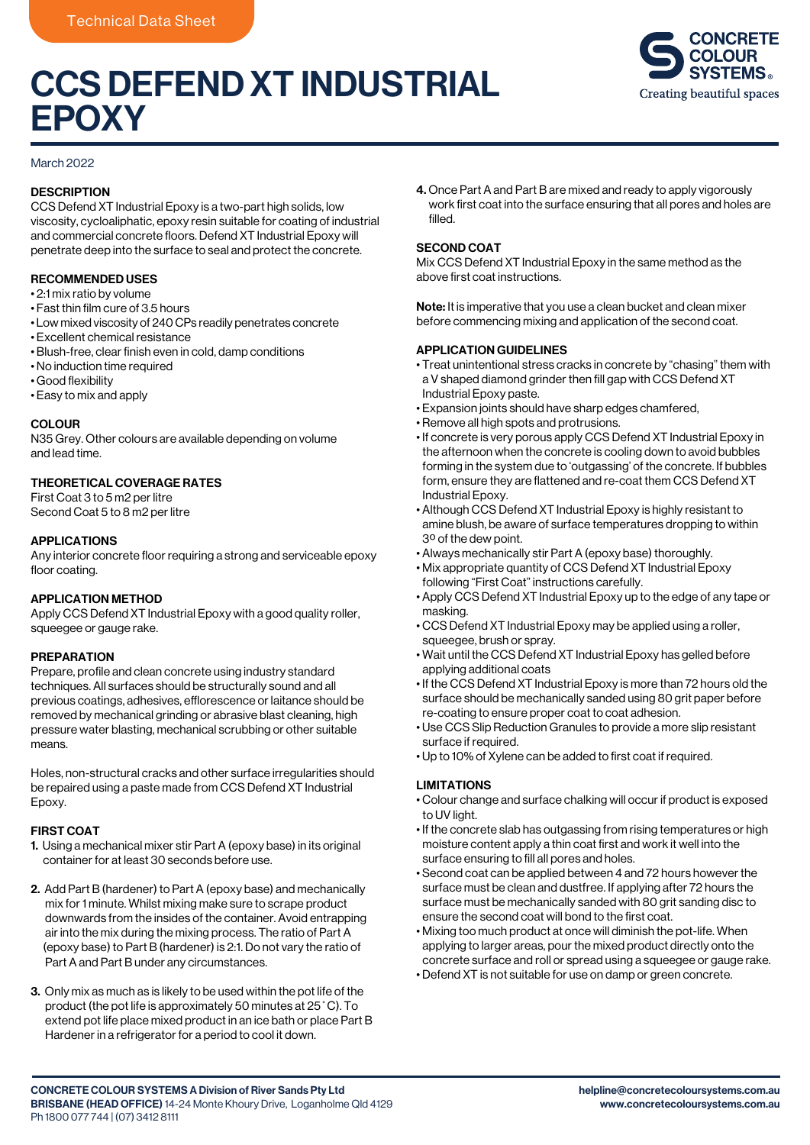# CCS DEFEND XT INDUSTRIAL **EPOXY**



#### March 2022

# **DESCRIPTION**

CCS Defend XT Industrial Epoxy is a two-part high solids, low viscosity, cycloaliphatic, epoxy resin suitable for coating of industrial and commercial concrete floors. Defend XT Industrial Epoxy will penetrate deep into the surface to seal and protect the concrete.

### RECOMMENDED USES

- 2:1 mix ratio by volume
- Fast thin film cure of 3.5 hours
- Low mixed viscosity of 240 CPs readily penetrates concrete
- Excellent chemical resistance
- Blush-free, clear finish even in cold, damp conditions
- No induction time required
- Good flexibility
- Easy to mix and apply

#### **COLOUR**

N35 Grey. Other colours are available depending on volume and lead time.

# THEORETICAL COVERAGE RATES

First Coat 3 to 5 m2 per litre Second Coat 5 to 8 m2 per litre

#### APPLICATIONS

Any interior concrete floor requiring a strong and serviceable epoxy floor coating.

#### APPLICATION METHOD

Apply CCS Defend XT Industrial Epoxy with a good quality roller, squeegee or gauge rake.

#### PREPARATION

Prepare, profile and clean concrete using industry standard techniques. All surfaces should be structurally sound and all previous coatings, adhesives, efflorescence or laitance should be removed by mechanical grinding or abrasive blast cleaning, high pressure water blasting, mechanical scrubbing or other suitable means.

Holes, non-structural cracks and other surface irregularities should be repaired using a paste made from CCS Defend XT Industrial Epoxy.

#### FIRST COAT

- 1. Using a mechanical mixer stir Part A (epoxy base) in its original container for at least 30 seconds before use.
- 2. Add Part B (hardener) to Part A (epoxy base) and mechanically mix for 1 minute. Whilst mixing make sure to scrape product downwards from the insides of the container. Avoid entrapping air into the mix during the mixing process. The ratio of Part A (epoxy base) to Part B (hardener) is 2:1. Do not vary the ratio of Part A and Part B under any circumstances.
- 3. Only mix as much as is likely to be used within the pot life of the product (the pot life is approximately 50 minutes at 25˚C). To extend pot life place mixed product in an ice bath or place Part B Hardener in a refrigerator for a period to cool it down.

4. Once Part A and Part B are mixed and ready to apply vigorously work first coat into the surface ensuring that all pores and holes are filled.

#### SECOND COAT

Mix CCS Defend XT Industrial Epoxy in the same method as the above first coat instructions.

Note: It is imperative that you use a clean bucket and clean mixer before commencing mixing and application of the second coat.

#### APPLICATION GUIDELINES

- Treat unintentional stress cracks in concrete by "chasing" them with a V shaped diamond grinder then fill gap with CCS Defend XT Industrial Epoxy paste.
- Expansion joints should have sharp edges chamfered,
- Remove all high spots and protrusions.
- If concrete is very porous apply CCS Defend XT Industrial Epoxy in the afternoon when the concrete is cooling down to avoid bubbles forming in the system due to 'outgassing' of the concrete. If bubbles form, ensure they are flattened and re-coat them CCS Defend XT Industrial Epoxy.
- Although CCS Defend XT Industrial Epoxy is highly resistant to amine blush, be aware of surface temperatures dropping to within 3º of the dew point.
- Always mechanically stir Part A (epoxy base) thoroughly.
- Mix appropriate quantity of CCS Defend XT Industrial Epoxy following "First Coat" instructions carefully.
- Apply CCS Defend XT Industrial Epoxy up to the edge of any tape or masking.
- CCS Defend XT Industrial Epoxy may be applied using a roller, squeegee, brush or spray.
- Wait until the CCS Defend XT Industrial Epoxy has gelled before applying additional coats
- If the CCS Defend XT Industrial Epoxy is more than 72 hours old the surface should be mechanically sanded using 80 grit paper before re-coating to ensure proper coat to coat adhesion.
- Use CCS Slip Reduction Granules to provide a more slip resistant surface if required.
- Up to 10% of Xylene can be added to first coat if required.

#### LIMITATIONS

- Colour change and surface chalking will occur if product is exposed to UV light.
- If the concrete slab has outgassing from rising temperatures or high moisture content apply a thin coat first and work it well into the surface ensuring to fill all pores and holes.
- Second coat can be applied between 4 and 72 hours however the surface must be clean and dustfree. If applying after 72 hours the surface must be mechanically sanded with 80 grit sanding disc to ensure the second coat will bond to the first coat.
- Mixing too much product at once will diminish the pot-life. When applying to larger areas, pour the mixed product directly onto the concrete surface and roll or spread using a squeegee or gauge rake.
- Defend XT is not suitable for use on damp or green concrete.